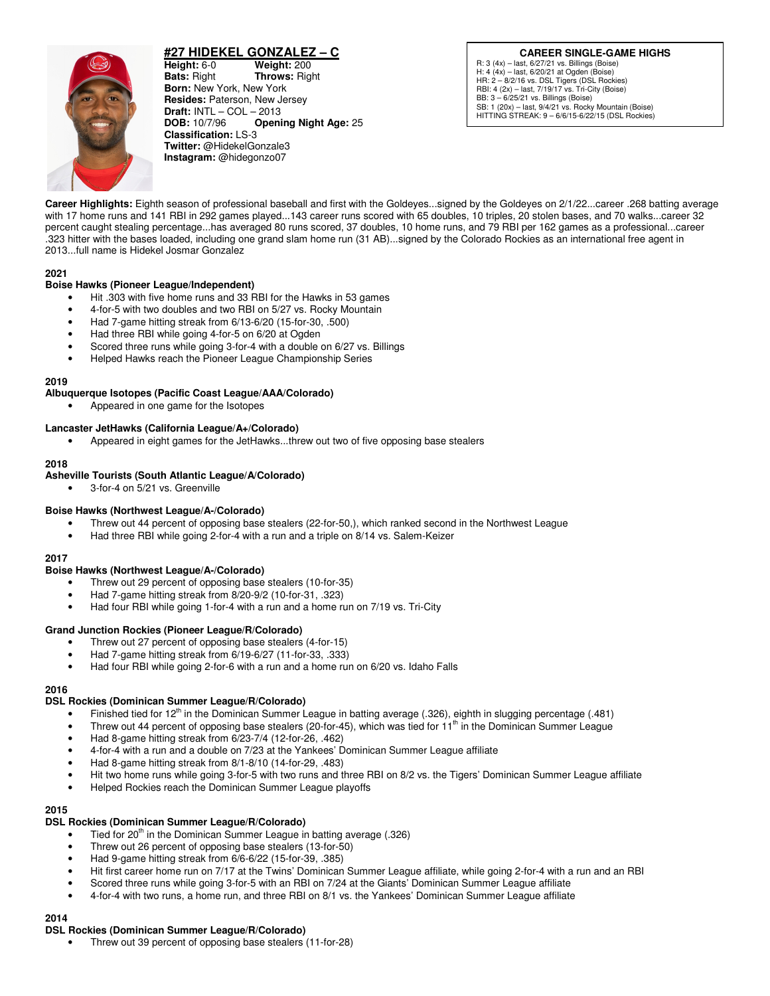

# **#27 HIDEKEL GONZALEZ – C**

**Height:** 6-0 **Weight:** 200 **Bats:** Right **Throws:** Rig **Bats:** Right **Throws:** Right **Born:** New York, New York **Resides:** Paterson, New Jersey **Draft: INTL – COL – 2013<br><b>DOB:** 10/7/96 **Openi Opening Night Age: 25 Classification:** LS-3 **Twitter:** @HidekelGonzale3 **Instagram:** @hidegonzo07

**CAREER SINGLE-GAME HIGHS** R: 3 (4x) – last, 6/27/21 vs. Billings (Boise) H: 4 (4x) – last, 6/20/21 at Ogden (Boise) HR: 2 – 8/2/16 vs. DSL Tigers (DSL Rockies) RBI: 4 (2x) – last, 7/19/17 vs. Tri-City (Boise) BB: 3 – 6/25/21 vs. Billings (Boise) SB: 1 (20x) – last, 9/4/21 vs. Rocky Mountain (Boise) HITTING STREAK: 9 – 6/6/15-6/22/15 (DSL Rockies)

**Career Highlights:** Eighth season of professional baseball and first with the Goldeyes...signed by the Goldeyes on 2/1/22...career .268 batting average with 17 home runs and 141 RBI in 292 games played...143 career runs scored with 65 doubles, 10 triples, 20 stolen bases, and 70 walks...career 32 percent caught stealing percentage...has averaged 80 runs scored, 37 doubles, 10 home runs, and 79 RBI per 162 games as a professional...career .323 hitter with the bases loaded, including one grand slam home run (31 AB)...signed by the Colorado Rockies as an international free agent in 2013...full name is Hidekel Josmar Gonzalez

#### **2021**

### **Boise Hawks (Pioneer League/Independent)**

- Hit .303 with five home runs and 33 RBI for the Hawks in 53 games
- 4-for-5 with two doubles and two RBI on 5/27 vs. Rocky Mountain
- Had 7-game hitting streak from 6/13-6/20 (15-for-30, .500)
- Had three RBI while going 4-for-5 on 6/20 at Ogden
- Scored three runs while going 3-for-4 with a double on 6/27 vs. Billings
- Helped Hawks reach the Pioneer League Championship Series

#### **2019**

### **Albuquerque Isotopes (Pacific Coast League/AAA/Colorado)**

• Appeared in one game for the Isotopes

#### **Lancaster JetHawks (California League/A+/Colorado)**

• Appeared in eight games for the JetHawks...threw out two of five opposing base stealers

#### **2018**

#### **Asheville Tourists (South Atlantic League/A/Colorado)**

• 3-for-4 on 5/21 vs. Greenville

### **Boise Hawks (Northwest League/A-/Colorado)**

- Threw out 44 percent of opposing base stealers (22-for-50,), which ranked second in the Northwest League
- Had three RBI while going 2-for-4 with a run and a triple on 8/14 vs. Salem-Keizer

#### **2017**

#### **Boise Hawks (Northwest League/A-/Colorado)**

- Threw out 29 percent of opposing base stealers (10-for-35)
- Had 7-game hitting streak from 8/20-9/2 (10-for-31, .323)
- Had four RBI while going 1-for-4 with a run and a home run on 7/19 vs. Tri-City

### **Grand Junction Rockies (Pioneer League/R/Colorado)**

- Threw out 27 percent of opposing base stealers (4-for-15)
- Had 7-game hitting streak from 6/19-6/27 (11-for-33, .333)
- Had four RBI while going 2-for-6 with a run and a home run on 6/20 vs. Idaho Falls

#### **2016**

### **DSL Rockies (Dominican Summer League/R/Colorado)**

- Finished tied for  $12<sup>th</sup>$  in the Dominican Summer League in batting average (.326), eighth in slugging percentage (.481)
- Threw out 44 percent of opposing base stealers (20-for-45), which was tied for  $11<sup>th</sup>$  in the Dominican Summer League
- Had 8-game hitting streak from 6/23-7/4 (12-for-26, .462)
- 4-for-4 with a run and a double on 7/23 at the Yankees' Dominican Summer League affiliate
- Had 8-game hitting streak from 8/1-8/10 (14-for-29, .483)
- Hit two home runs while going 3-for-5 with two runs and three RBI on 8/2 vs. the Tigers' Dominican Summer League affiliate
- Helped Rockies reach the Dominican Summer League playoffs

#### **2015**

### **DSL Rockies (Dominican Summer League/R/Colorado)**

- Tied for  $20<sup>th</sup>$  in the Dominican Summer League in batting average (.326)
- Threw out 26 percent of opposing base stealers (13-for-50)
- Had 9-game hitting streak from 6/6-6/22 (15-for-39, .385)
- Hit first career home run on 7/17 at the Twins' Dominican Summer League affiliate, while going 2-for-4 with a run and an RBI
- Scored three runs while going 3-for-5 with an RBI on 7/24 at the Giants' Dominican Summer League affiliate
- 4-for-4 with two runs, a home run, and three RBI on 8/1 vs. the Yankees' Dominican Summer League affiliate

# **2014**

# **DSL Rockies (Dominican Summer League/R/Colorado)**

• Threw out 39 percent of opposing base stealers (11-for-28)